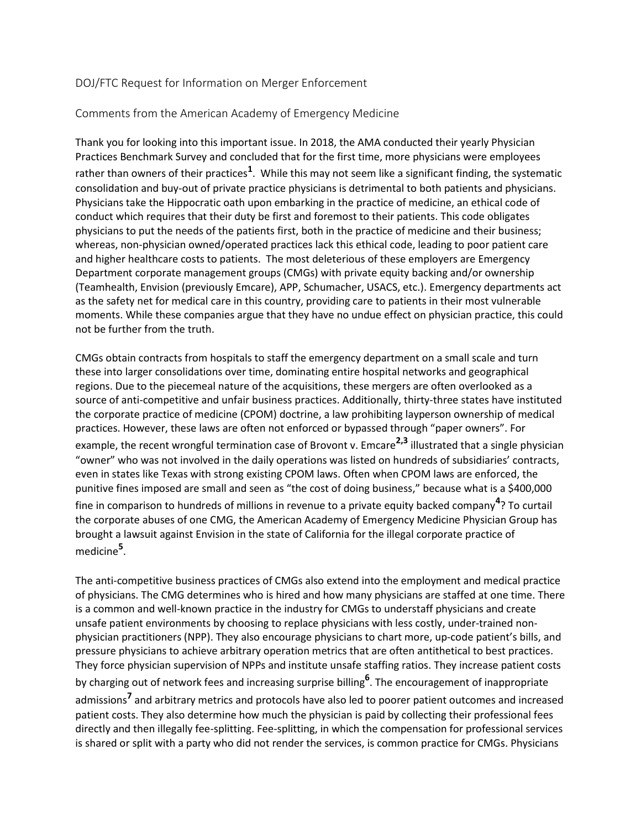## DOJ/FTC Request for Information on Merger Enforcement

## Comments from the American Academy of Emergency Medicine

Thank you for looking into this important issue. In 2018, the AMA conducted their yearly Physician Practices Benchmark Survey and concluded that for the first time, more physicians were employees rather than owners of their practices<sup>1</sup>. While this may not seem like a significant finding, the systematic consolidation and buy-out of private practice physicians is detrimental to both patients and physicians. Physicians take the Hippocratic oath upon embarking in the practice of medicine, an ethical code of conduct which requires that their duty be first and foremost to their patients. This code obligates physicians to put the needs of the patients first, both in the practice of medicine and their business; whereas, non-physician owned/operated practices lack this ethical code, leading to poor patient care and higher healthcare costs to patients. The most deleterious of these employers are Emergency Department corporate management groups (CMGs) with private equity backing and/or ownership (Teamhealth, Envision (previously Emcare), APP, Schumacher, USACS, etc.). Emergency departments act as the safety net for medical care in this country, providing care to patients in their most vulnerable moments. While these companies argue that they have no undue effect on physician practice, this could not be further from the truth.

CMGs obtain contracts from hospitals to staff the emergency department on a small scale and turn these into larger consolidations over time, dominating entire hospital networks and geographical regions. Due to the piecemeal nature of the acquisitions, these mergers are often overlooked as a source of anti-competitive and unfair business practices. Additionally, thirty-three states have instituted the corporate practice of medicine (CPOM) doctrine, a law prohibiting layperson ownership of medical practices. However, these laws are often not enforced or bypassed through "paper owners". For example, the recent wrongful termination case of Brovont v. Emcare**2,3** illustrated that a single physician "owner" who was not involved in the daily operations was listed on hundreds of subsidiaries' contracts, even in states like Texas with strong existing CPOM laws. Often when CPOM laws are enforced, the punitive fines imposed are small and seen as "the cost of doing business," because what is a \$400,000 fine in comparison to hundreds of millions in revenue to a private equity backed company**<sup>4</sup>** ? To curtail the corporate abuses of one CMG, the American Academy of Emergency Medicine Physician Group has brought a lawsuit against Envision in the state of California for the illegal corporate practice of medicine**<sup>5</sup>** .

The anti-competitive business practices of CMGs also extend into the employment and medical practice of physicians. The CMG determines who is hired and how many physicians are staffed at one time. There is a common and well-known practice in the industry for CMGs to understaff physicians and create unsafe patient environments by choosing to replace physicians with less costly, under-trained nonphysician practitioners (NPP). They also encourage physicians to chart more, up-code patient's bills, and pressure physicians to achieve arbitrary operation metrics that are often antithetical to best practices. They force physician supervision of NPPs and institute unsafe staffing ratios. They increase patient costs by charging out of network fees and increasing surprise billing**<sup>6</sup>** . The encouragement of inappropriate admissions**<sup>7</sup>** and arbitrary metrics and protocols have also led to poorer patient outcomes and increased patient costs. They also determine how much the physician is paid by collecting their professional fees directly and then illegally fee-splitting. Fee-splitting, in which the compensation for professional services is shared or split with a party who did not render the services, is common practice for CMGs. Physicians